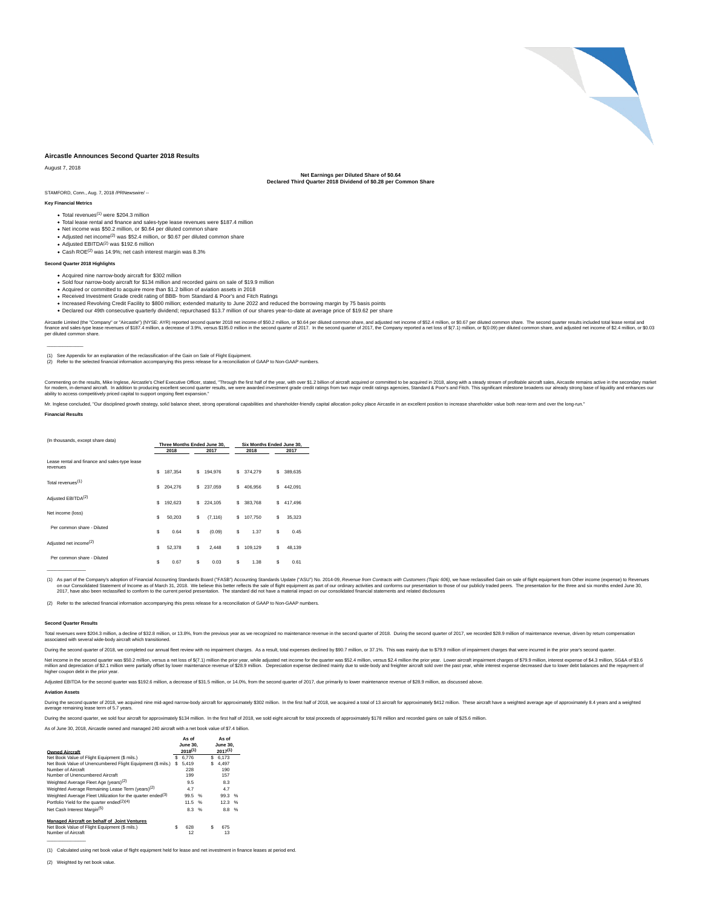

#### **Aircastle Announces Second Quarter 2018 Results**

#### August 7, 2018

**Net Earnings per Diluted Share of \$0.64 Declared Third Quarter 2018 Dividend of \$0.28 per Common Share**

STAMFORD, Conn., Aug. 7, 2018 /PRNewswire/ --

#### **Key Financial Metrics**

- Total revenues(1) were \$204.3 million
- Total lease rental and finance and sales-type lease revenues were \$187.4 million
- Net income was \$50.2 million, or \$0.64 per diluted common share • Adjusted net income<sup>(2)</sup> was \$52.4 million, or \$0.67 per diluted common share
- 
- Adjusted EBITDA<sup>(2)</sup> was \$192.6 million<br>Cash ROE<sup>(2)</sup> was 14.9%; net cash interest margin was 8.3%

#### **Second Quarter 2018 Highlights**

#### Acquired nine narrow-body aircraft for \$302 million

- Sold four narrow-body aircraft for \$134 million and recorded gains on sale of \$19.9 million
- 
- 
- Acquired or committed to acquire more than \$1.2 billion of aviation assets in 2018<br>Received Investment Grade credit rating of BBB- from Standard & Poor's and Fitch Ratings<br>Increased Revolving Credit Facility to \$800 millio Declared our 49th consecutive quarterly dividend; repurchased \$13.7 million of our shares year-to-date at average price of \$19.62 per share

Aircastle Limited (the "Company" or "Aircastle") (NYSE: AYR) reported second quarter 2018 net income of \$50.2 million, or \$0.64 per diluted common share, and adjusted net income of \$52.4 million, or \$0.67 per diluted commo

(1) See Appendix for an explanation of the reclassification of the Gain on Sale of Flight Equipment.<br>(2) Refer to the selected financial information accompanying this press release for a reconciliation of GAAP to Non-GAAP

Commenting on the results, Mike Inglese, Aircastle's Chief Executive Officer, stated, "Through the first half of the year, with over \$1.2 billion of aircraft acquired or committed to be acquired in 2018, along with a stead

#### Mr. Inglese concluded, "Our disciplined growth strategy, solid balance sheet, strong operational capabilities and shareholder-friendly capital allocation policy place Aircastle in an excellent position to increase sharehol

**Financial Results**

 $\mathcal{L}_\text{max}$  and  $\mathcal{L}_\text{max}$ 

| (In thousands, except share data)                         | Three Months Ended June 30. |         |      |          | Six Months Ended June 30. |         |      |         |  |
|-----------------------------------------------------------|-----------------------------|---------|------|----------|---------------------------|---------|------|---------|--|
|                                                           | 2018<br>2017                |         | 2018 |          |                           |         | 2017 |         |  |
| Lease rental and finance and sales-type lease<br>revenues | s                           | 187,354 | s    | 194.976  | s                         | 374.279 | S    | 389,635 |  |
| Total revenues <sup>(1)</sup>                             | s                           | 204,276 | s    | 237.059  | s                         | 406.956 | S    | 442.091 |  |
| Adjusted EBITDA <sup>(2)</sup>                            | s                           | 192.623 | s    | 224.105  | s                         | 383.768 | S    | 417.496 |  |
| Net income (loss)                                         | s                           | 50,203  | S    | (7, 116) | s                         | 107,750 | S    | 35,323  |  |
| Per common share - Diluted                                | s                           | 0.64    | S    | (0.09)   | \$                        | 1.37    | s    | 0.45    |  |
| Adjusted net income <sup>(2)</sup>                        | \$                          | 52,378  | \$   | 2.448    | Ŝ.                        | 109.129 | \$   | 48,139  |  |
| Per common share - Diluted                                | s                           | 0.67    | s    | 0.03     | s                         | 1.38    | s    | 0.61    |  |
|                                                           |                             |         |      |          |                           |         |      |         |  |

(1) As part of the Company's adoption of Financial Accounting Standards Board ("FASB") Accounting Standards Undate ("ASU") No. 2014-09. Revenue from Contracts with Customers (Tonic 606) we have reclassified Gain on sale of on our Consolidad Statement of Income as of March 31, 2015. We believe this better reflects the sale of flight equipment as part of ur ordinary activities and color our consolidated manatizal magnetic metals and consolidat

(2) Refer to the selected financial information accompanying this press release for a reconciliation of GAAP to Non-GAAP n

#### **Second Quarter Results**

Total revenues were \$204.3 million, a decline of \$32.8 million, or 13.8%, from the previous year as we recognized no maintenance revenue in the second quarter of 2018. During the second quarter of 2017, we recorded \$28.9 m associated with several wide-body aircraft which transitioned.

During the second quarter of 2018, we completed our annual fleet review with no impairment charges. As a result, total expenses declined by \$90.7 million, or 37.1%. This was mainly due to \$79.9 million of impairment charge

Net income in the second quarter was \$50.2 million, versus a net loss of \$(7.1) million the prior year, while adjusted net income for the quarter was \$52.4 million, versus \$2.4 million the prior year. Lower aircraft mpairm

Adjusted EBITDA for the second quarter was \$192.6 million, a decrease of \$31.5 million, or 14.0%, from the second quarter of 2017, due primarily to lower maintenance revenue of \$28.9 million, as discus

#### **Aviation Assets**

During the second quarter of 2018, we acquired nine mid-aged narrow-body aircraft for approximately \$302 million. In the first half of 2018, we acquired a total of 13 aircraft for approximately \$412 million. These aircraft

During the second quarter, we sold four aircraft for approximately \$134 million. In the first half of 2018, we sold eight aircraft for total proceeds of approximately \$178 million and recorded gains on sale of \$25.6 millio

As of June 30, 2018, Aircastle owned and managed 240 aircraft with a net book value of \$7.4 billion.

| <b>Owned Aircraft</b>                                                   |   | As of<br><b>June 30.</b><br>$2018^{(1)}$ |   |   | As of<br><b>June 30.</b><br>$2017^{(1)}$ |      |  |  |
|-------------------------------------------------------------------------|---|------------------------------------------|---|---|------------------------------------------|------|--|--|
| Net Book Value of Flight Equipment (\$ mils.)                           | s | 6.776                                    |   | s | 6.173                                    |      |  |  |
| Net Book Value of Unencumbered Flight Equipment (\$ mils.)              | s | 5.419                                    |   | S | 4.497                                    |      |  |  |
| Number of Aircraft                                                      |   | 228                                      |   |   | 190                                      |      |  |  |
| Number of Unencumbered Aircraft                                         |   | 199                                      |   |   | 157                                      |      |  |  |
| Weighted Average Fleet Age (years) <sup>(2)</sup>                       |   | 9.5                                      |   |   | 8.3                                      |      |  |  |
| Weighted Average Remaining Lease Term (years) <sup>(2)</sup>            |   | 4.7                                      |   |   | 4.7                                      |      |  |  |
| Weighted Average Fleet Utilization for the quarter ended <sup>(3)</sup> |   | 99.5                                     | % |   | 99.3 %                                   |      |  |  |
| Portfolio Yield for the quarter ended <sup>(2)(4)</sup>                 |   | 11.5                                     | % |   | 12.3%                                    |      |  |  |
| Net Cash Interest Margin <sup>(5)</sup>                                 |   | 8.3                                      | % |   | 8.8                                      | $\%$ |  |  |
| <b>Managed Aircraft on behalf of Joint Ventures</b>                     |   |                                          |   |   |                                          |      |  |  |
| Net Book Value of Flight Equipment (\$ mils.)                           | s | 628                                      |   | S | 675                                      |      |  |  |
| Number of Aircraft                                                      |   | 12                                       |   |   | 13                                       |      |  |  |

(1) Calculated using net book value of flight equipment held for lease and net investment in finance leases at period end.

(2) Weighted by net book value.

 $-$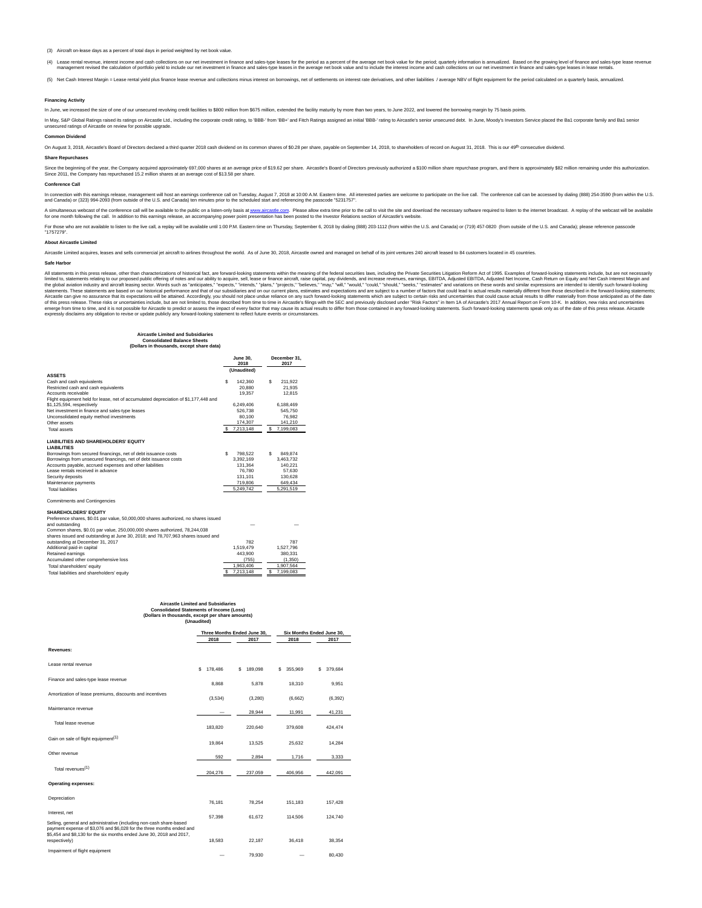(3) Aircraft on-lease days as a percent of total days in period weighted by net book value.

(4) Lease rental revenue, interest income and cash collections on our net investment in finance and sales-type leases for the period as a percent of the average net book value for the period: quarterly information is annua management revised the calculation of portfolio vield to include our net investment in finance and sales-type leases in the average net book value and to include the interest income and cash collections on our net investme

(5) Net Cash Interest Margin = Lease rental yield plus finance lease revenue and collections minus interest on borrowings, net of settlements on interest rate derivatives, and other liabilities / average NBV of flight equi

#### **Financing Activity**

In June, we increased the size of one of our unsecured revolving credit facilities to \$800 million from \$675 million, extended the facility maturity by more than two years, to June 2022, and lowered the borrowing margin by

in May, S&P Global Raings raised its ratings on Aircastle Ltd., including the corporate credit rating, to 'BB+' md Fitch Ratings assigned an initial 'BBB-' rating to Aircastle's senior unsecured debt. In June, Moody's Inv

#### **Common Dividend**

On August 3, 2018, Aircastle's Board of Directors declared a third quarter 2018 cash dividend on its common shares of \$0.28 per share, payable on September 14, 2018, to shareholders of record on August 31, 2018. This is ou

#### **Share Repurchases**

Since the beginning of the year, the Company acquired approximately 697,000 shares at an average price of \$19.62 per share. Aircastle's Board of Directors previously authorized \$100 million share repurchase program, and th

#### **Conference Call**

in connection with this samings relasse, management will bost an earnings conference call on Tuesday, August 7, 2018 at 10:00 A.M. Easten time. All interested parties are welcome to participate on the ilve call. The confer

A simultaneous webcast of the conference call will be available to the public on a listen-only basis a[t www.aircastle.com.](http://www.aircastle.com/) Please allow extra time prior to the case allow out a listen on the observe only in preserved and a

For those who are not available to listen to the live call, a replay will be available until 1:00 P.M. Eastern time on Thursday, September 6, 2018 by dialing (888) 203-1112 (from within the U.S. and Canada) or (719) 457-08 "1757279".

#### **About Aircastle Limited**

Aircastle Limited acquires, leases and sells commercial iet aircraft to airlines throughout the world. As of June 30, 2018, Aircastle owned and managed on behalf of its ioint ventures 240 aircraft leased to 84 customers lo

#### **Safe Harbor**

All statements in this press release, other than characterizations of historical fact, are forward-looking statements within the meaning of the federal securities laws, including the Private Securities Litigation Reform Ac limited to, statements relating to our proposed public offering of notes and urability to acquise, sell, lease or finance. Sell, any dividend in any is easily in a statements. These statements relations in the statement st

#### **Aircastle Limited and Subsidiaries**

#### **Consolidated Balance Sheets (Dollars in thousands, except share data)**

|                                                                                                                  | <b>June 30.</b><br>2018 | December 31.<br>2017 |
|------------------------------------------------------------------------------------------------------------------|-------------------------|----------------------|
| <b>ASSETS</b>                                                                                                    | (Unaudited)             |                      |
| Cash and cash equivalents                                                                                        | Ś<br>142,360            | s<br>211.922         |
| Restricted cash and cash equivalents                                                                             | 20.880                  | 21.935               |
| Accounts receivable                                                                                              | 19.357                  | 12.815               |
|                                                                                                                  |                         |                      |
| Flight equipment held for lease, net of accumulated depreciation of \$1,177,448 and<br>\$1,125,594, respectively | 6.249.406               | 6.188.469            |
| Net investment in finance and sales-type leases                                                                  | 526.738                 | 545.750              |
| Unconsolidated equity method investments                                                                         | 80.100                  | 76.982               |
| Other assets                                                                                                     | 174,307                 | 141.210              |
|                                                                                                                  | 7.213.148<br>s          | 7.199.083<br>s       |
| <b>Total assets</b>                                                                                              |                         |                      |
| <b>LIABILITIES AND SHAREHOLDERS' EQUITY</b><br><b>LIABILITIES</b>                                                |                         |                      |
|                                                                                                                  |                         |                      |
| Borrowings from secured financings, net of debt issuance costs                                                   | s<br>798.522            | s<br>849.874         |
| Borrowings from unsecured financings, net of debt issuance costs                                                 | 3.392.169               | 3,463,732            |
| Accounts payable, accrued expenses and other liabilities                                                         | 131.364                 | 140.221              |
| Lease rentals received in advance                                                                                | 76,780                  | 57.630               |
| Security deposits                                                                                                | 131.101                 | 130.628              |
| Maintenance payments                                                                                             | 719,806                 | 649.434              |
| <b>Total liabilities</b>                                                                                         | 5.249.742               | 5.291.519            |
| Commitments and Contingencies                                                                                    |                         |                      |
| <b>SHAREHOLDERS' EQUITY</b>                                                                                      |                         |                      |
| Preference shares, \$0.01 par value, 50,000,000 shares authorized, no shares issued                              |                         |                      |
| and outstanding                                                                                                  |                         |                      |
| Common shares, \$0.01 par value, 250,000,000 shares authorized, 78,244,038                                       |                         |                      |
| shares issued and outstanding at June 30, 2018; and 78,707,963 shares issued and                                 |                         |                      |
| outstanding at December 31, 2017                                                                                 | 782                     | 787                  |
| Additional paid-in capital                                                                                       | 1.519.479               | 1.527.796            |
| Retained earnings                                                                                                | 443,900                 | 380.331              |

#### **Aircastle Limited and Subsidiaries Consolidated Statements of Income (Loss)**

#### **(Dollars in thousands, except per share amounts)** (Unaudi

Accumulated other comprehensive loss (755) (1,350)<br>
Total shareholders' equity 1,963,406 1,963,406 1,907,564

Total liabilities and shareholders' equity

|                                                                                                                                                                                                                      | Three Months Ended June 30.<br>2017<br>2018 |              | 2018         | Six Months Ended June 30.<br>2017 |
|----------------------------------------------------------------------------------------------------------------------------------------------------------------------------------------------------------------------|---------------------------------------------|--------------|--------------|-----------------------------------|
| Revenues:                                                                                                                                                                                                            |                                             |              |              |                                   |
| Lease rental revenue                                                                                                                                                                                                 | s<br>178,486                                | 189.098<br>s | 355.969<br>s | 379.684<br>s                      |
| Finance and sales-type lease revenue                                                                                                                                                                                 | 8.868                                       | 5.878        | 18.310       | 9.951                             |
| Amortization of lease premiums, discounts and incentives                                                                                                                                                             | (3,534)                                     | (3,280)      | (6.662)      | (6, 392)                          |
| Maintenance revenue                                                                                                                                                                                                  |                                             | 28,944       | 11.991       | 41.231                            |
| Total lease revenue                                                                                                                                                                                                  | 183,820                                     | 220.640      | 379,608      | 424.474                           |
| Gain on sale of flight equipment <sup>(1)</sup>                                                                                                                                                                      | 19,864                                      | 13,525       | 25,632       | 14,284                            |
| Other revenue                                                                                                                                                                                                        | 592                                         | 2,894        | 1,716        | 3,333                             |
| Total revenues <sup>(1)</sup>                                                                                                                                                                                        | 204.276                                     | 237,059      | 406.956      | 442,091                           |
| <b>Operating expenses:</b>                                                                                                                                                                                           |                                             |              |              |                                   |
| Depreciation                                                                                                                                                                                                         | 76.181                                      | 78.254       | 151.183      | 157.428                           |
| Interest, net                                                                                                                                                                                                        | 57.398                                      | 61.672       | 114,506      | 124,740                           |
| Selling, general and administrative (including non-cash share-based<br>payment expense of \$3,076 and \$6,028 for the three months ended and<br>\$5,454 and \$8,130 for the six months ended June 30, 2018 and 2017, |                                             |              |              |                                   |
| respectively)                                                                                                                                                                                                        | 18.583                                      | 22.187       | 36.418       | 38.354                            |
| Impairment of flight equipment                                                                                                                                                                                       | $\overline{\phantom{a}}$                    | 79.930       |              | 80.430                            |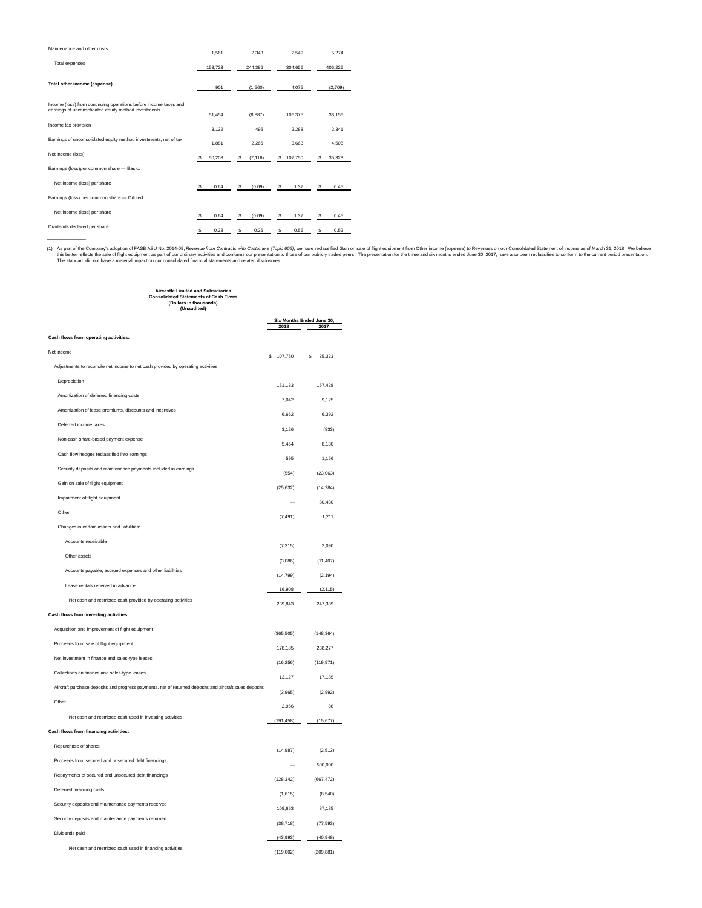| Maintenance and other costs                                                                                              | 1.561       | 2.343        | 2.549     | 5.274       |
|--------------------------------------------------------------------------------------------------------------------------|-------------|--------------|-----------|-------------|
| Total expenses                                                                                                           | 153.723     | 244.386      | 304.656   | 406,226     |
| Total other income (expense)                                                                                             | 901         | (1,560)      | 4.075     | (2,709)     |
| Income (loss) from continuing operations before income taxes and<br>earnings of unconsolidated equity method investments | 51.454      | (8, 887)     | 106.375   | 33.156      |
| Income tax provision                                                                                                     | 3.132       | 495          | 2.288     | 2.341       |
| Earnings of unconsolidated equity method investments, net of tax                                                         | 1.881       | 2.266        | 3.663     | 4.508       |
| Net income (loss)                                                                                                        | 50.203<br>s | (7.116)<br>s | \$107,750 | 35.323<br>s |
| Earnings (loss)per common share - Basic:                                                                                 |             |              |           |             |
| Net income (loss) per share                                                                                              | 0.64<br>s.  | s<br>(0.09)  | s<br>1.37 | s<br>0.45   |
| Earnings (loss) per common share - Diluted:                                                                              |             |              |           |             |
| Net income (loss) per share                                                                                              | s<br>0.64   | (0.09)<br>s  | s<br>1.37 | s<br>0.45   |
| Dividends declared per share                                                                                             | 0.28<br>s   | 0.26<br>s    | s<br>0.56 | 0.52<br>s   |

(1) As part of the Company's adoption of FASB ASU No. 2014-09, Revenue from Contracts with Customers (Topic 606), we have reclassified Gain on sale of flight equipment from Other income (expense) to Revenues on our Consoli

### **Aircastle Limited and Subsidiaries Consolidated Statements of Cash Flows (Dollars in thousands) (Unaudited)**

|                                                                                                        |            | Six Months Ended June 30, |
|--------------------------------------------------------------------------------------------------------|------------|---------------------------|
|                                                                                                        | 2018       | 2017                      |
| Cash flows from operating activities:                                                                  |            |                           |
| Net income                                                                                             | 107,750    | 35,323<br>s               |
| Adjustments to reconcile net income to net cash provided by operating activities:                      |            |                           |
| Depreciation                                                                                           |            |                           |
| Amortization of deferred financing costs                                                               | 151,183    | 157,428                   |
| Amortization of lease premiums, discounts and incentives                                               | 7,042      | 9,125                     |
| Deferred income taxes                                                                                  | 6.662      | 6.392                     |
| Non-cash share-based payment expense                                                                   | 3.126      | (833)                     |
| Cash flow hedges reclassified into earnings                                                            | 5.454      | 8.130                     |
|                                                                                                        | 595        | 1.156                     |
| Security deposits and maintenance payments included in earnings                                        | (554)      | (23,063)                  |
| Gain on sale of flight equipment                                                                       | (25, 632)  | (14, 284)                 |
| Impairment of flight equipment                                                                         |            | 80,430                    |
| Other                                                                                                  | (7, 491)   | 1,211                     |
| Changes in certain assets and liabilities:                                                             |            |                           |
| Accounts receivable                                                                                    | (7, 315)   | 2,090                     |
| Other assets                                                                                           | (3,086)    | (11, 407)                 |
| Accounts payable, accrued expenses and other liabilities                                               | (14, 799)  | (2.194)                   |
| Lease rentals received in advance                                                                      | 16,908     | (2, 115)                  |
| Net cash and restricted cash provided by operating activities                                          | 239.843    | 247,389                   |
| Cash flows from investing activities:                                                                  |            |                           |
| Acquisition and improvement of flight equipment                                                        | (365, 505) |                           |
| Proceeds from sale of flight equipment                                                                 |            | (148, 364)                |
| Net investment in finance and sales-type leases                                                        | 178.185    | 238,277                   |
| Collections on finance and sales-type leases                                                           | (16, 256)  | (119, 971)                |
| Aircraft purchase deposits and progress payments, net of returned deposits and aircraft sales deposits | 13,127     | 17,185                    |
| Other                                                                                                  | (3,965)    | (2,892)                   |
|                                                                                                        | 2,956      | 88                        |
| Net cash and restricted cash used in investing activities                                              | (191, 458) | (15, 677)                 |
| Cash flows from financing activities:                                                                  |            |                           |
| Repurchase of shares                                                                                   | (14, 987)  | (2, 513)                  |
| Proceeds from secured and unsecured debt financings                                                    |            | 500,000                   |
| Repayments of secured and unsecured debt financings                                                    | (128, 342) | (667, 472)                |
| Deferred financing costs                                                                               | (1,615)    | (8,540)                   |
| Security deposits and maintenance payments received                                                    | 108,653    | 87,185                    |
| Security deposits and maintenance payments returned                                                    | (38, 718)  | (77, 593)                 |
| Dividends paid                                                                                         | (43,993)   | (40, 948)                 |
| Net cash and restricted cash used in financing activities                                              | (119,002)  | (209, 881)                |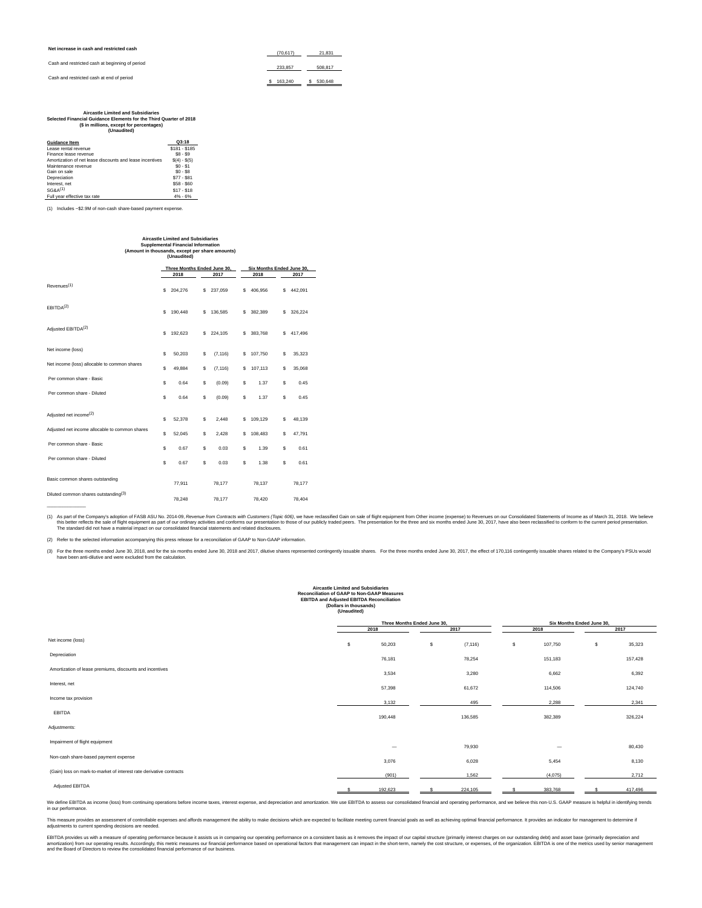**Net increase in cash and restricted cash**

|  |  | Cash and restricted cash at beginning of period |  |
|--|--|-------------------------------------------------|--|
|  |  |                                                 |  |

Cash and restricted cash at end of period

| (70.617) | 21.831  |  |
|----------|---------|--|
| 233.857  | 508.817 |  |
| 163,240  | 530.648 |  |

| <b>Aircastle Limited and Subsidiaries</b>                          |  |  |  |  |  |  |
|--------------------------------------------------------------------|--|--|--|--|--|--|
| Selected Financial Guidance Elements for the Third Quarter of 2018 |  |  |  |  |  |  |
| (\$ in millions, except for percentages)                           |  |  |  |  |  |  |
| (Unaudited)                                                        |  |  |  |  |  |  |

| <b>Guidance Item</b>                                     | Q3:18         |
|----------------------------------------------------------|---------------|
| Lease rental revenue                                     | \$181 - \$185 |
| Finance lease revenue                                    | $$8 - $9$     |
| Amortization of net lease discounts and lease incentives | $$(4) - $(5)$ |
| Maintenance revenue                                      | $$0 - $1$$    |
| Gain on sale                                             | $$0 - $8$$    |
| Depreciation                                             | $$77 - $81$   |
| Interest, net                                            | $$58 - $60$   |
| SGRA <sup>(1)</sup>                                      | $$17 - $18$   |
| Full year effective tax rate                             | $4% - 6%$     |

(1) Includes ~\$2.9M of non-cash share-based payment expense.

| asuo Liiliuou allu vuivsiulai<br><b>Supplemental Financial Information</b><br>(Amount in thousands, except per share amounts)<br>(Unaudited) |   |                             |   |          |    |                           |    |         |  |  |
|----------------------------------------------------------------------------------------------------------------------------------------------|---|-----------------------------|---|----------|----|---------------------------|----|---------|--|--|
|                                                                                                                                              |   | Three Months Ended June 30, |   |          |    | Six Months Ended June 30, |    |         |  |  |
|                                                                                                                                              |   | 2018                        |   | 2017     |    | 2018                      |    | 2017    |  |  |
| Revenues <sup>(1)</sup>                                                                                                                      | s | 204,276                     | s | 237,059  | s  | 406,956                   | s  | 442,091 |  |  |
| EBITDA <sup>(2)</sup>                                                                                                                        | s | 190.448                     | s | 136,585  | s  | 382.389                   | s  | 326.224 |  |  |
| Adjusted EBITDA <sup>(2)</sup>                                                                                                               | s | 192.623                     | S | 224.105  | s  | 383,768                   | s  | 417.496 |  |  |
| Net income (loss)                                                                                                                            | s | 50,203                      | S | (7, 116) | s  | 107,750                   | s  | 35,323  |  |  |
| Net income (loss) allocable to common shares                                                                                                 | S | 49.884                      | S | (7, 116) | s  | 107,113                   | s  | 35,068  |  |  |
| Per common share - Basic                                                                                                                     | s | 0.64                        | S | (0.09)   | \$ | 1.37                      | \$ | 0.45    |  |  |
| Per common share - Diluted                                                                                                                   | s | 0.64                        | Ŝ | (0.09)   | Ŝ. | 1.37                      | s  | 0.45    |  |  |
| Adjusted net income <sup>(2)</sup>                                                                                                           | s | 52,378                      | S | 2,448    | s  | 109.129                   | s  | 48,139  |  |  |
| Adjusted net income allocable to common shares                                                                                               | S | 52.045                      | S | 2.428    | s  | 108.483                   | s  | 47.791  |  |  |
| Per common share - Basic                                                                                                                     | s | 0.67                        | S | 0.03     | S  | 1.39                      | s  | 0.61    |  |  |
| Per common share - Diluted                                                                                                                   | s | 0.67                        | S | 0.03     | S  | 1.38                      | s  | 0.61    |  |  |
| Basic common shares outstanding                                                                                                              |   | 77,911                      |   | 78,177   |    | 78,137                    |    | 78,177  |  |  |
| Diluted common shares outstanding <sup>(3)</sup>                                                                                             |   | 78.248                      |   | 78.177   |    | 78,420                    |    | 78.404  |  |  |

**Aircastle Limited and Subsidiaries**

(1) As part of the Company's adoption of FASB ASU No. 2014-09, Revenue from Contracts with Customers (Topic 606), we have reclassified Gain on sale of flight equipment from Other income (expense) to Revenues on our Consoli

(2) Refer to the selected information accompanying this press release for a reconciliation of GAAP to Non-GAAP information.

(3) For the three months ended une 30, 2018, and for the six months ended June 30, 2018 and 2017, diutive shares represented contingently issuable shares. For the three months ended June 30, 2017, the effect of 170,116 con

# Aircastle Limited and Subsidiaries<br>
Reconciliation of GAAP to Non-GAAP Measures<br> **EBITDA and Adjusted EBITDA Reconciliation**<br>
(Dollars in thousands)<br>
(Unaudited)

|                          |      | 2017     |                             | 2018                     |    | 2017                      |
|--------------------------|------|----------|-----------------------------|--------------------------|----|---------------------------|
| \$<br>50,203             | \$   | (7, 116) | \$                          | 107,750                  | \$ | 35,323                    |
| 76,181                   |      | 78,254   |                             | 151,183                  |    | 157,428                   |
| 3,534                    |      | 3,280    |                             | 6,662                    |    | 6,392                     |
| 57,398                   |      | 61,672   |                             | 114,506                  |    | 124,740                   |
| 3,132                    |      | 495      |                             | 2,288                    |    | 2,341                     |
| 190,448                  |      | 136,585  |                             | 382,389                  |    | 326,224                   |
|                          |      |          |                             |                          |    |                           |
| $\overline{\phantom{0}}$ |      | 79,930   |                             | $\overline{\phantom{0}}$ |    | 80,430                    |
| 3,076                    |      | 6,028    |                             | 5,454                    |    | 8,130                     |
| (901)                    |      | 1,562    |                             | (4,075)                  |    | 2,712                     |
| 192,623                  |      | 224,105  | £.                          | 383,768                  | s  | 417,496                   |
|                          | 2018 |          | Three Months Ended June 30, |                          |    | Six Months Ended June 30, |

We define EBITDA as income (loss) from continuing operations before income taxes, interest expense, and depreciation and amortization. We use EBITDA to assess our consolidated financial and operating performance, and we be

This measure provides an assessment of controllable expenses and affords management the ability to make decisions which are expected to facilitate meeting current friancial goals as well as achieving optimal financial perf

EBITDA provides us with a measure of operating performance because it assists us in comparing our operating performance on a consistent basis as it removes the impact of our capital structure (primarily interest charges on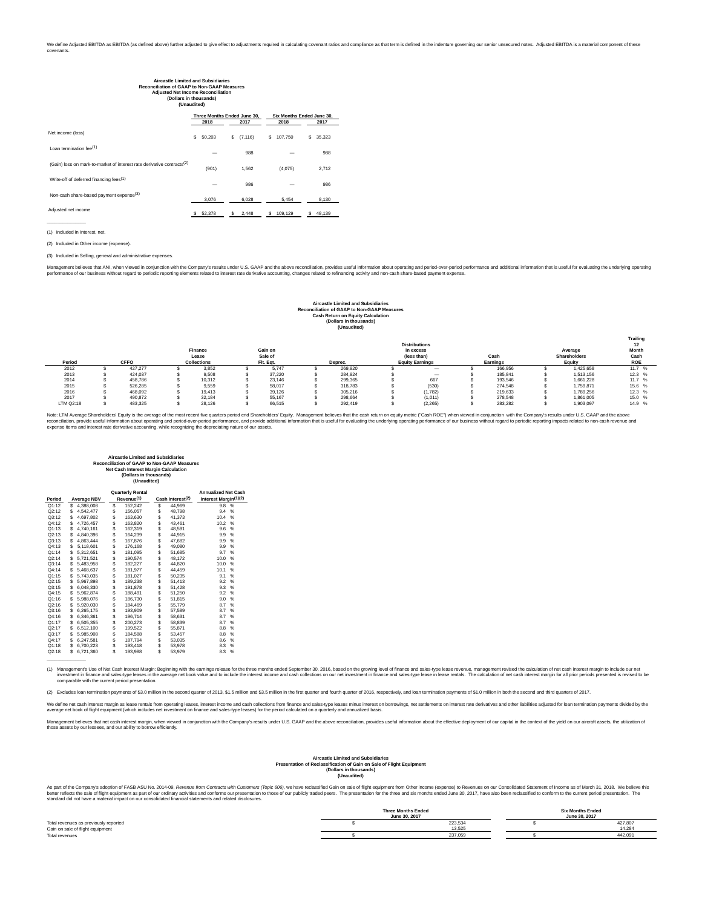| <b>Aircastle Limited and Subsidiaries</b><br><b>Reconciliation of GAAP to Non-GAAP Measures</b><br><b>Adjusted Net Income Reconciliation</b><br>(Dollars in thousands)<br>(Unaudited) |   |                             |    |          |   |                           |      |        |  |  |
|---------------------------------------------------------------------------------------------------------------------------------------------------------------------------------------|---|-----------------------------|----|----------|---|---------------------------|------|--------|--|--|
|                                                                                                                                                                                       |   | Three Months Ended June 30, |    |          |   | Six Months Ended June 30. |      |        |  |  |
|                                                                                                                                                                                       |   | 2018                        |    | 2017     |   | 2018                      | 2017 |        |  |  |
| Net income (loss)                                                                                                                                                                     | s | 50,203                      | s  | (7, 116) | s | 107,750                   | s    | 35,323 |  |  |
| Loan termination fee <sup>(1)</sup>                                                                                                                                                   |   |                             |    | 988      |   |                           |      | 988    |  |  |
| (Gain) loss on mark-to-market of interest rate derivative contracts <sup>(2)</sup>                                                                                                    |   | (901)                       |    | 1.562    |   | (4,075)                   |      | 2,712  |  |  |
| Write-off of deferred financing fees <sup>(1)</sup>                                                                                                                                   |   |                             |    | 986      |   |                           |      | 986    |  |  |
| Non-cash share-based payment expense <sup>(3)</sup>                                                                                                                                   |   | 3.076                       |    | 6.028    |   | 5.454                     |      | 8.130  |  |  |
| Adjusted net income                                                                                                                                                                   | s | 52.378                      | s. | 2.448    | s | 109.129                   | s    | 48.139 |  |  |

(1) Included in Interest, net.

 $-$ 

(2) Included in Other income (expense).

(3) Included in Selling, general and administrative expenses.

Management believes that ANI, when viewed in conjunction with the Company's results under U.S. GAAP and the above reconciliation, provides useful information about operating chere that distribute of the fact and the instan

# Aircastle Limited and Subsidiaries<br>
Reconciliation of GAAP to Non-GAAP Measures<br>
Cash Return on Equity Calculation<br>
(Dollars in thousands)<br>
(Unaudited)

| Period    | <b>CFFO</b> |         | Finance<br>Lease<br><b>Collections</b> |        | Gain on<br>Sale of<br>Flt. Eat. |        | <b>Distributions</b><br>in excess<br>(less than)<br><b>Equity Earnings</b><br>Deprec. |  | Cash<br>Earnings | Average<br>Shareholders<br>Equity | Trailing<br>12<br>Month<br>Cash<br><b>ROE</b> |        |
|-----------|-------------|---------|----------------------------------------|--------|---------------------------------|--------|---------------------------------------------------------------------------------------|--|------------------|-----------------------------------|-----------------------------------------------|--------|
| 2012      |             | 427.277 |                                        | 3.852  |                                 | 5.747  | 269,920                                                                               |  | $\sim$           | 166.956                           | 1.425.658                                     | 11.7 % |
| 2013      |             | 424.037 |                                        | 9.508  |                                 | 37.220 | 284.924                                                                               |  | $\sim$           | 185.841                           | 1.513.156                                     | 12.3%  |
| 2014      |             | 458.786 |                                        | 10.312 |                                 | 23.146 | 299.365                                                                               |  | 667              | 193.546                           | 1.661.228                                     | 11.7 % |
| 2015      |             | 526.285 |                                        | 9.559  |                                 | 58.017 | 318,783                                                                               |  | (530)            | 274.548                           | 1.759.871                                     | 15.6 % |
| 2016      |             | 468.092 |                                        | 19.413 |                                 | 39.126 | 305.216                                                                               |  | (1,782)          | 219.633                           | 1.789.256                                     | 12.3%  |
| 2017      |             | 490,872 |                                        | 32.184 |                                 | 55.167 | 298,664                                                                               |  | (1,011)          | 278.548                           | 1.861.005                                     | 15.0 % |
| LTM Q2:18 |             | 483.325 |                                        | 28.126 |                                 | 66.515 | 292.419                                                                               |  | (2, 265)         | 283.282                           | 1.903.097                                     | 14.9 % |

Note: LTM Average Shareholders' Equity is the average of the most recent five quarters period end Shareholders' Equity. Management believes that the cash return on equity metric ("Cash ROE") when viewed in conjunction with

# **Aircastle Limited and Subsidiaries Reconciliation of GAAP to Non-GAAP Measures Net Cash Interest Margin Calculation (Dollars in thousands) (Unaudited)**

|        |   |                    |                        | <b>Quarterly Rental</b> |                              |        | <b>Annualized Net Cash</b>        |   |  |
|--------|---|--------------------|------------------------|-------------------------|------------------------------|--------|-----------------------------------|---|--|
| Period |   | <b>Average NBV</b> | Revenue <sup>(1)</sup> |                         | Cash Interest <sup>(2)</sup> |        | Interest Margin <sup>(1)(2)</sup> |   |  |
| Q1:12  | S | 4,388,008          | \$                     | 152,242                 | \$                           | 44.969 | 9.8                               | % |  |
| Q2:12  | S | 4,542,477          | \$                     | 156.057                 | \$                           | 48.798 | 9.4                               | % |  |
| Q3:12  | S | 4,697,802          | Ś                      | 163.630                 | \$                           | 41.373 | 10.4                              | % |  |
| Q4:12  | S | 4.726.457          | \$                     | 163.820                 | \$                           | 43.461 | 10.2                              | % |  |
| Q1:13  | S | 4.740.161          | \$                     | 162.319                 | \$                           | 48.591 | 9.6                               | % |  |
| Q2:13  | S | 4,840,396          | \$                     | 164,239                 | Ś                            | 44,915 | 9.9                               | % |  |
| Q3:13  | S | 4.863.444          | \$                     | 167,876                 | \$                           | 47.682 | 9.9                               | % |  |
| Q4:13  | S | 5,118,601          | \$                     | 176,168                 |                              | 49,080 | 9.9                               | % |  |
| Q1:14  | S | 5.312.651          | \$                     | 181,095                 | \$                           | 51.685 | 9.7                               | % |  |
| Q2:14  | S | 5.721.521          | \$                     | 190,574                 | \$                           | 48.172 | 10.0                              | % |  |
| Q3:14  | S | 5,483,958          | \$                     | 182,227                 | \$                           | 44,820 | 10.0                              | % |  |
| Q4:14  | S | 5.468.637          | \$                     | 181.977                 | \$                           | 44.459 | 10.1                              | % |  |
| Q1:15  | S | 5,743,035          | \$                     | 181.027                 | Ś                            | 50.235 | 9.1                               | % |  |
| Q2:15  | S | 5.967.898          | \$                     | 189.238                 | \$                           | 51.413 | 9.2                               | % |  |
| Q3:15  | S | 6,048,330          | \$                     | 191,878                 | Ś                            | 51.428 | 9.3                               | % |  |
| Q4:15  | S | 5,962,874          | \$                     | 188,491                 | \$                           | 51,250 | 9.2                               | % |  |
| Q1:16  | S | 5.988.076          | \$                     | 186.730                 | \$                           | 51.815 | 9.0                               | % |  |
| Q2:16  | S | 5,920,030          | \$                     | 184,469                 | Ś                            | 55,779 | 8.7                               | % |  |
| Q3:16  | s | 6,265,175          | \$                     | 193.909                 | \$                           | 57.589 | 8.7                               | % |  |
| Q4:16  | S | 6,346,361          | \$                     | 196,714                 | \$                           | 58.631 | 8.7                               | % |  |
| Q1:17  | S | 6,505,355          | \$                     | 200.273                 | \$                           | 58,839 | 8.7                               | % |  |
| Q2:17  | S | 6,512,100          | \$                     | 199.522                 | \$                           | 55,871 | 8.8                               | % |  |
| Q3:17  | S | 5,985,908          | \$                     | 184,588                 | \$                           | 53.457 | 8.8                               | % |  |
| Q4:17  | S | 6,247,581          | \$                     | 187,794                 | \$                           | 53,035 | 8.6                               | % |  |
| Q1:18  | S | 6,700,223          | Ś                      | 193,418                 | Ś                            | 53,978 | 8.3                               | % |  |
| Q2:18  | s | 6.721.360          | Ś                      | 193.988                 | Ś                            | 53.979 | 8.3                               | % |  |

(1) Management's Use of Net Cash Interest Margin: Beginning with the earnings release for the three months ended September 30, 2016, based on the growing level of finance and sales-type lease revenue, management revised th

(2) Excludes loan termination payments of \$3.0 million in the second quarter of 2013, \$1.5 million and \$3.5 million in the first quarter and fourth quarter and fourth quarter of 2016, respectively, and loan termination pay

We define that man alse are the asses rentals from operating leases, interest income and cash collections from finance and sales-type leases) for the period calculated on a quarterly and annualized basis.<br>average net book

Management believes that net areast meradian when viewed in conjunction with the Company's results under U.S. GAAP and the above reconciliation, provides useful information about the effective deployment of our capital in

#### **Aircastle Limited and Subsidiaries Presentation of Reclassification of Gain on Sale of Flight Equipment (Dollars in thousands) (Unaudited)**

As part of the Company's adoption of FASB ASU No. 2014-09, *Revenue from Contracts with Customers (Topic 606)*, we have reclassified Gain on sale of flight equipment from Other income (expense) to Revenues on our Consolida

|                                       | <b>Three Months Ended</b><br>June 30, 2017 | <b>Six Months Ended</b><br>June 30, 2017 |         |  |  |
|---------------------------------------|--------------------------------------------|------------------------------------------|---------|--|--|
| Total revenues as previously reported | 223.534                                    |                                          | 427,807 |  |  |
| Gain on sale of flight equipment      | 13.525                                     |                                          | 14.284  |  |  |
| Total revenues                        | 237.059                                    |                                          | 442.091 |  |  |